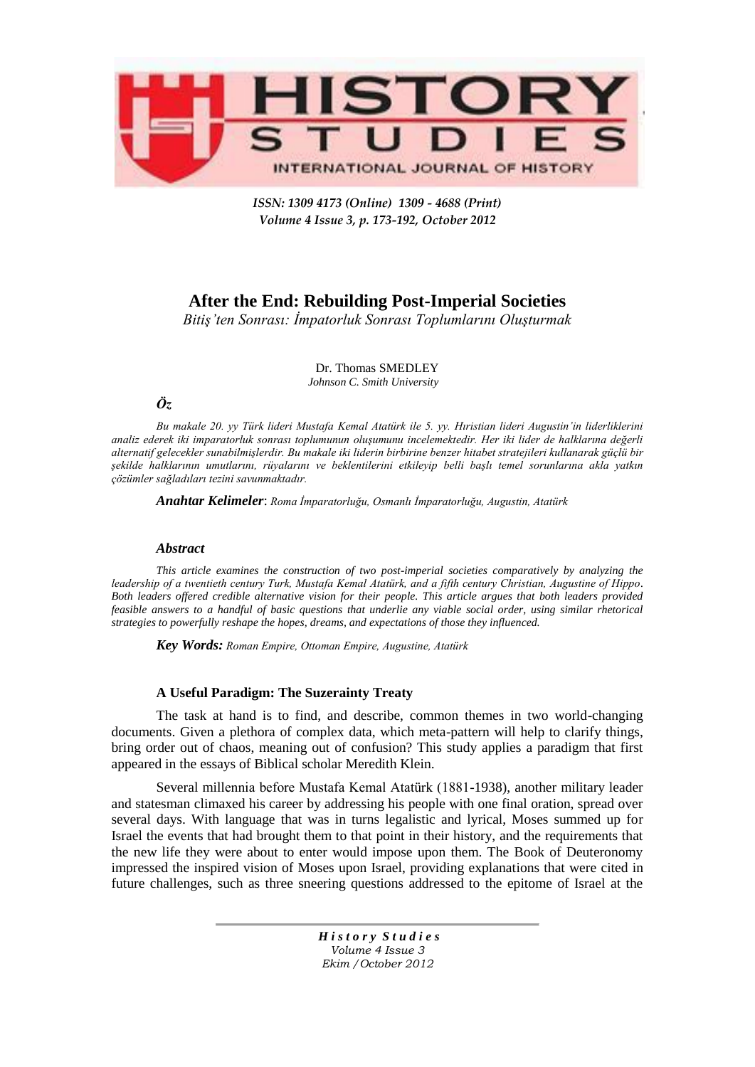

*ISSN: 1309 4173 (Online) 1309 - 4688 (Print) Volume 4 Issue 3, p. 173-192, October 2012* 

# **After the End: Rebuilding Post-Imperial Societies**

*Bitiş"ten Sonrası: İmpatorluk Sonrası Toplumlarını Oluşturmak*

Dr. Thomas SMEDLEY  *Johnson C. Smith University*

# *Öz*

*Bu makale 20. yy Türk lideri Mustafa Kemal Atatürk ile 5. yy. Hıristian lideri Augustin"in liderliklerini analiz ederek iki imparatorluk sonrası toplumunun oluşumunu incelemektedir. Her iki lider de halklarına değerli alternatif gelecekler sunabilmişlerdir. Bu makale iki liderin birbirine benzer hitabet stratejileri kullanarak güçlü bir şekilde halklarının umutlarını, rüyalarını ve beklentilerini etkileyip belli başlı temel sorunlarına akla yatkın çözümler sağladıları tezini savunmaktadır.*

*Anahtar Kelimeler*: *Roma İmparatorluğu, Osmanlı İmparatorluğu, Augustin, Atatürk*

# *Abstract*

*This article examines the construction of two post-imperial societies comparatively by analyzing the leadership of a twentieth century Turk, Mustafa Kemal Atatürk, and a fifth century Christian, Augustine of Hippo. Both leaders offered credible alternative vision for their people. This article argues that both leaders provided feasible answers to a handful of basic questions that underlie any viable social order, using similar rhetorical strategies to powerfully reshape the hopes, dreams, and expectations of those they influenced.*

*Key Words: Roman Empire, Ottoman Empire, Augustine, Atatürk*

# **A Useful Paradigm: The Suzerainty Treaty**

The task at hand is to find, and describe, common themes in two world-changing documents. Given a plethora of complex data, which meta-pattern will help to clarify things, bring order out of chaos, meaning out of confusion? This study applies a paradigm that first appeared in the essays of Biblical scholar Meredith Klein.

Several millennia before Mustafa Kemal Atatürk (1881-1938), another military leader and statesman climaxed his career by addressing his people with one final oration, spread over several days. With language that was in turns legalistic and lyrical, Moses summed up for Israel the events that had brought them to that point in their history, and the requirements that the new life they were about to enter would impose upon them. The Book of Deuteronomy impressed the inspired vision of Moses upon Israel, providing explanations that were cited in future challenges, such as three sneering questions addressed to the epitome of Israel at the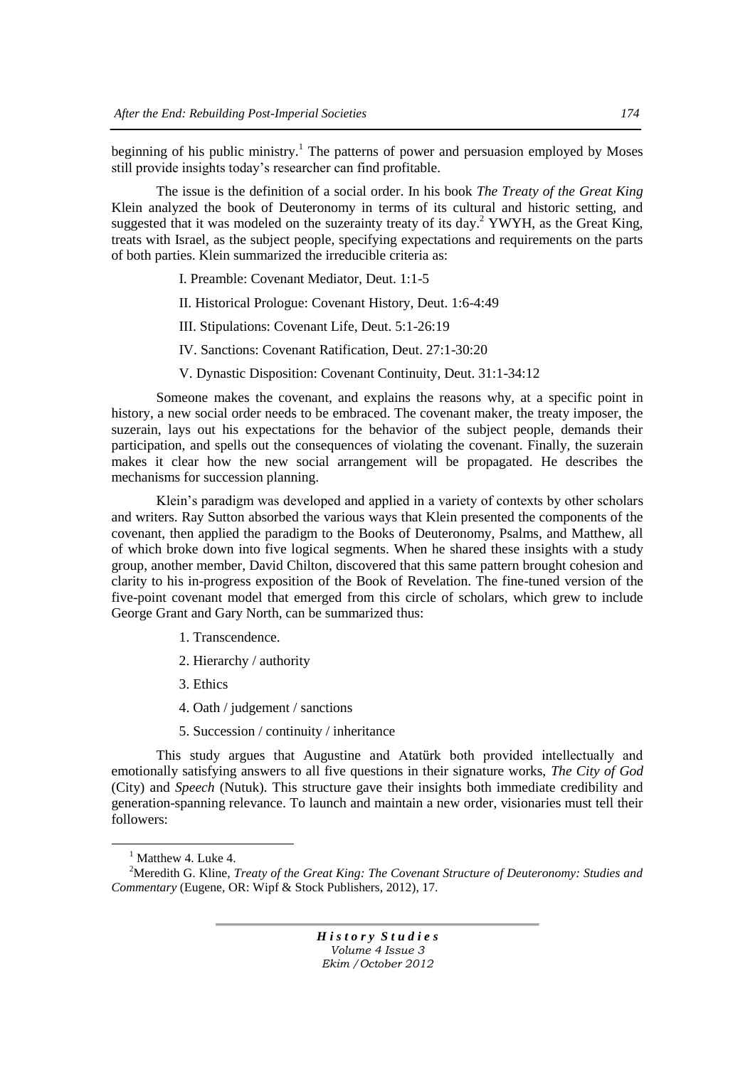beginning of his public ministry.<sup>1</sup> The patterns of power and persuasion employed by Moses still provide insights today"s researcher can find profitable.

The issue is the definition of a social order. In his book *The Treaty of the Great King* Klein analyzed the book of Deuteronomy in terms of its cultural and historic setting, and suggested that it was modeled on the suzerainty treaty of its day.<sup>2</sup> YWYH, as the Great King, treats with Israel, as the subject people, specifying expectations and requirements on the parts of both parties. Klein summarized the irreducible criteria as:

I. Preamble: Covenant Mediator, Deut. 1:1-5

II. Historical Prologue: Covenant History, Deut. 1:6-4:49

III. Stipulations: Covenant Life, Deut. 5:1-26:19

IV. Sanctions: Covenant Ratification, Deut. 27:1-30:20

V. Dynastic Disposition: Covenant Continuity, Deut. 31:1-34:12

Someone makes the covenant, and explains the reasons why, at a specific point in history, a new social order needs to be embraced. The covenant maker, the treaty imposer, the suzerain, lays out his expectations for the behavior of the subject people, demands their participation, and spells out the consequences of violating the covenant. Finally, the suzerain makes it clear how the new social arrangement will be propagated. He describes the mechanisms for succession planning.

Klein"s paradigm was developed and applied in a variety of contexts by other scholars and writers. Ray Sutton absorbed the various ways that Klein presented the components of the covenant, then applied the paradigm to the Books of Deuteronomy, Psalms, and Matthew, all of which broke down into five logical segments. When he shared these insights with a study group, another member, David Chilton, discovered that this same pattern brought cohesion and clarity to his in-progress exposition of the Book of Revelation. The fine-tuned version of the five-point covenant model that emerged from this circle of scholars, which grew to include George Grant and Gary North, can be summarized thus:

- 1. Transcendence.
- 2. Hierarchy / authority
- 3. Ethics
- 4. Oath / judgement / sanctions
- 5. Succession / continuity / inheritance

This study argues that Augustine and Atatürk both provided intellectually and emotionally satisfying answers to all five questions in their signature works, *The City of God* (City) and *Speech* (Nutuk). This structure gave their insights both immediate credibility and generation-spanning relevance. To launch and maintain a new order, visionaries must tell their followers:

 $\overline{a}$ 

 $<sup>1</sup>$  Matthew 4. Luke 4.</sup>

<sup>2</sup>Meredith G. Kline, *Treaty of the Great King: The Covenant Structure of Deuteronomy: Studies and Commentary* (Eugene, OR: Wipf & Stock Publishers, 2012), 17.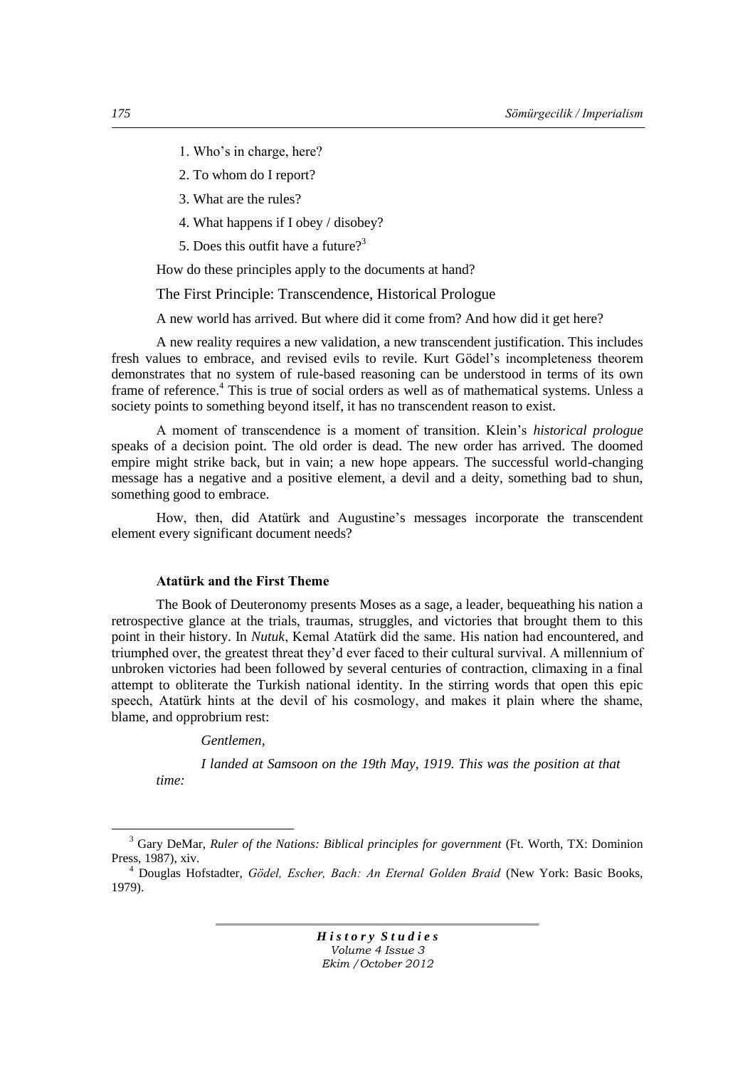1. Who"s in charge, here?

- 2. To whom do I report?
- 3. What are the rules?
- 4. What happens if I obey / disobey?
- 5. Does this outfit have a future?<sup>3</sup>

How do these principles apply to the documents at hand?

The First Principle: Transcendence, Historical Prologue

A new world has arrived. But where did it come from? And how did it get here?

A new reality requires a new validation, a new transcendent justification. This includes fresh values to embrace, and revised evils to revile. Kurt Gödel"s incompleteness theorem demonstrates that no system of rule-based reasoning can be understood in terms of its own frame of reference.<sup>4</sup> This is true of social orders as well as of mathematical systems. Unless a society points to something beyond itself, it has no transcendent reason to exist.

A moment of transcendence is a moment of transition. Klein"s *historical prologue* speaks of a decision point. The old order is dead. The new order has arrived. The doomed empire might strike back, but in vain; a new hope appears. The successful world-changing message has a negative and a positive element, a devil and a deity, something bad to shun, something good to embrace.

How, then, did Atatürk and Augustine"s messages incorporate the transcendent element every significant document needs?

## **Atatürk and the First Theme**

The Book of Deuteronomy presents Moses as a sage, a leader, bequeathing his nation a retrospective glance at the trials, traumas, struggles, and victories that brought them to this point in their history. In *Nutuk*, Kemal Atatürk did the same. His nation had encountered, and triumphed over, the greatest threat they"d ever faced to their cultural survival. A millennium of unbroken victories had been followed by several centuries of contraction, climaxing in a final attempt to obliterate the Turkish national identity. In the stirring words that open this epic speech, Atatürk hints at the devil of his cosmology, and makes it plain where the shame, blame, and opprobrium rest:

*Gentlemen,*

*time:*

 $\overline{a}$ 

*I landed at Samsoon on the 19th May, 1919. This was the position at that* 

<sup>&</sup>lt;sup>3</sup> Gary DeMar, *Ruler of the Nations: Biblical principles for government* (Ft. Worth, TX: Dominion Press, 1987), xiv.

<sup>4</sup> Douglas Hofstadter, *Gödel, Escher, Bach: An Eternal Golden Braid* (New York: Basic Books, 1979).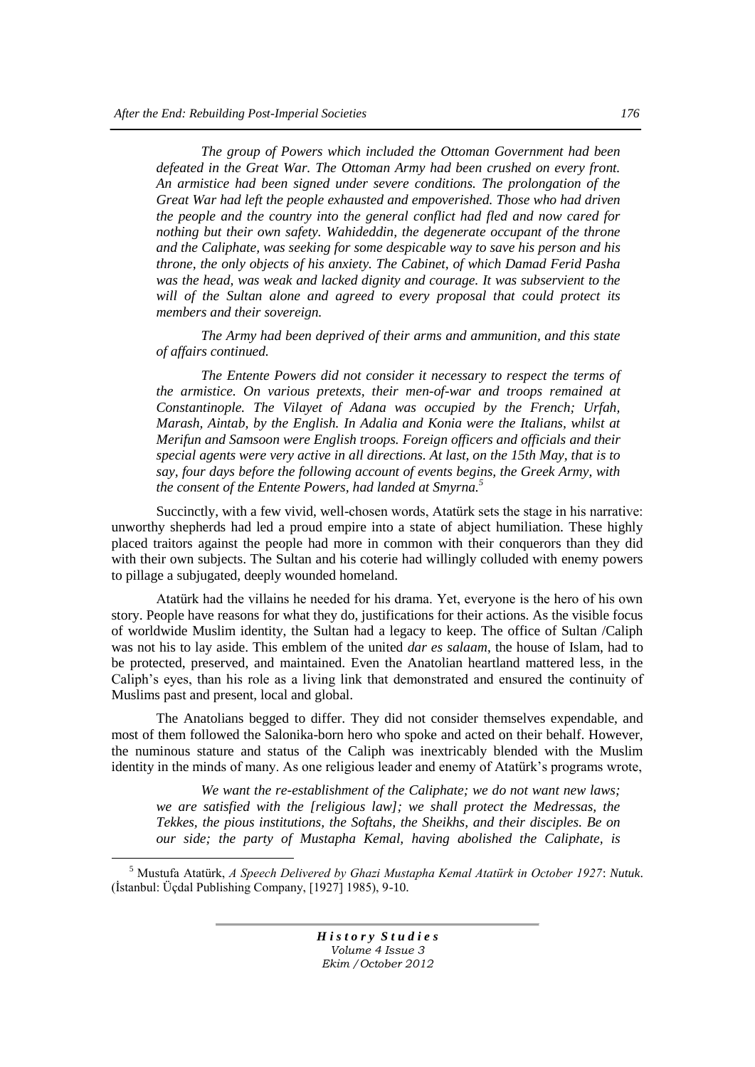*The group of Powers which included the Ottoman Government had been defeated in the Great War. The Ottoman Army had been crushed on every front. An armistice had been signed under severe conditions. The prolongation of the Great War had left the people exhausted and empoverished. Those who had driven the people and the country into the general conflict had fled and now cared for nothing but their own safety. Wahideddin, the degenerate occupant of the throne and the Caliphate, was seeking for some despicable way to save his person and his throne, the only objects of his anxiety. The Cabinet, of which Damad Ferid Pasha was the head, was weak and lacked dignity and courage. It was subservient to the will of the Sultan alone and agreed to every proposal that could protect its members and their sovereign.*

*The Army had been deprived of their arms and ammunition, and this state of affairs continued.*

*The Entente Powers did not consider it necessary to respect the terms of the armistice. On various pretexts, their men-of-war and troops remained at Constantinople. The Vilayet of Adana was occupied by the French; Urfah, Marash, Aintab, by the English. In Adalia and Konia were the Italians, whilst at Merifun and Samsoon were English troops. Foreign officers and officials and their special agents were very active in all directions. At last, on the 15th May, that is to say, four days before the following account of events begins, the Greek Army, with the consent of the Entente Powers, had landed at Smyrna.<sup>5</sup>*

Succinctly, with a few vivid, well-chosen words, Atatürk sets the stage in his narrative: unworthy shepherds had led a proud empire into a state of abject humiliation. These highly placed traitors against the people had more in common with their conquerors than they did with their own subjects. The Sultan and his coterie had willingly colluded with enemy powers to pillage a subjugated, deeply wounded homeland.

Atatürk had the villains he needed for his drama. Yet, everyone is the hero of his own story. People have reasons for what they do, justifications for their actions. As the visible focus of worldwide Muslim identity, the Sultan had a legacy to keep. The office of Sultan /Caliph was not his to lay aside. This emblem of the united *dar es salaam*, the house of Islam, had to be protected, preserved, and maintained. Even the Anatolian heartland mattered less, in the Caliph"s eyes, than his role as a living link that demonstrated and ensured the continuity of Muslims past and present, local and global.

The Anatolians begged to differ. They did not consider themselves expendable, and most of them followed the Salonika-born hero who spoke and acted on their behalf. However, the numinous stature and status of the Caliph was inextricably blended with the Muslim identity in the minds of many. As one religious leader and enemy of Atatürk's programs wrote,

*We want the re-establishment of the Caliphate; we do not want new laws; we are satisfied with the [religious law]; we shall protect the Medressas, the Tekkes, the pious institutions, the Softahs, the Sheikhs, and their disciples. Be on our side; the party of Mustapha Kemal, having abolished the Caliphate, is* 

 $\overline{a}$ 

<sup>5</sup> Mustufa Atatürk, *A Speech Delivered by Ghazi Mustapha Kemal Atatürk in October 1927*: *Nutuk*. (İstanbul: Üçdal Publishing Company, [1927] 1985), 9-10.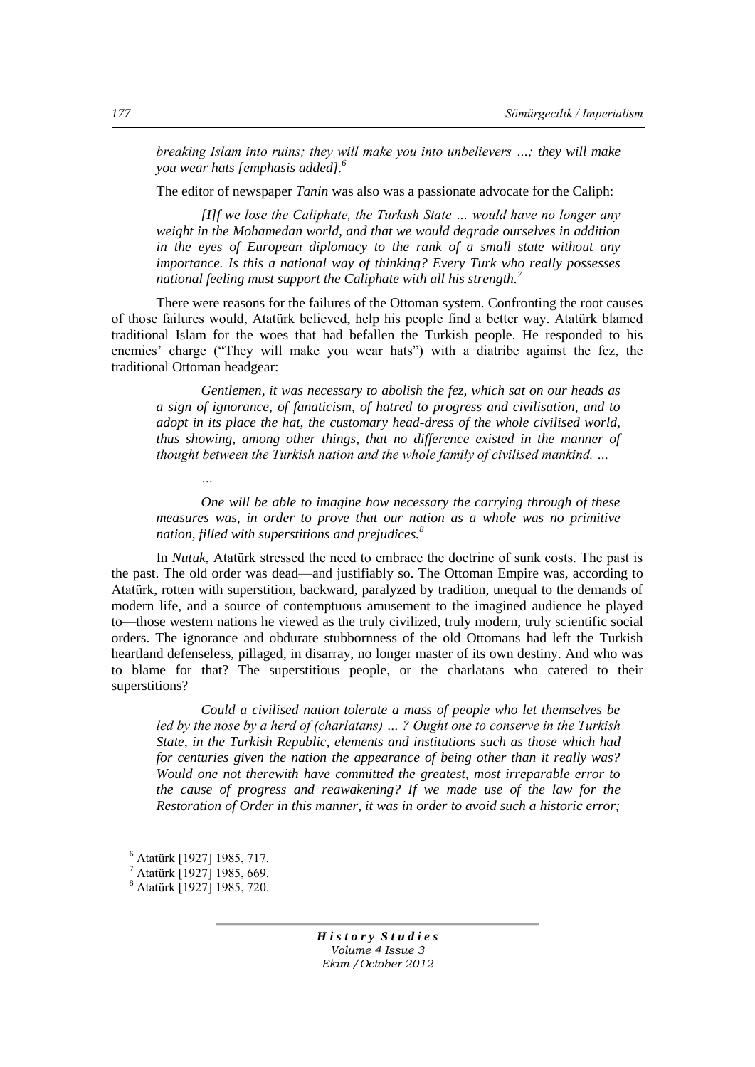*breaking Islam into ruins; they will make you into unbelievers …; they will make you wear hats [emphasis added].<sup>6</sup>*

The editor of newspaper *Tanin* was also was a passionate advocate for the Caliph:

*[I]f we lose the Caliphate, the Turkish State … would have no longer any weight in the Mohamedan world, and that we would degrade ourselves in addition in the eyes of European diplomacy to the rank of a small state without any importance. Is this a national way of thinking? Every Turk who really possesses national feeling must support the Caliphate with all his strength.<sup>7</sup>*

There were reasons for the failures of the Ottoman system. Confronting the root causes of those failures would, Atatürk believed, help his people find a better way. Atatürk blamed traditional Islam for the woes that had befallen the Turkish people. He responded to his enemies" charge ("They will make you wear hats") with a diatribe against the fez, the traditional Ottoman headgear:

*Gentlemen, it was necessary to abolish the fez, which sat on our heads as a sign of ignorance, of fanaticism, of hatred to progress and civilisation, and to adopt in its place the hat, the customary head-dress of the whole civilised world, thus showing, among other things, that no difference existed in the manner of thought between the Turkish nation and the whole family of civilised mankind. …*

*One will be able to imagine how necessary the carrying through of these measures was, in order to prove that our nation as a whole was no primitive nation, filled with superstitions and prejudices.<sup>8</sup>*

In *Nutuk*, Atatürk stressed the need to embrace the doctrine of sunk costs. The past is the past. The old order was dead—and justifiably so. The Ottoman Empire was, according to Atatürk, rotten with superstition, backward, paralyzed by tradition, unequal to the demands of modern life, and a source of contemptuous amusement to the imagined audience he played to—those western nations he viewed as the truly civilized, truly modern, truly scientific social orders. The ignorance and obdurate stubbornness of the old Ottomans had left the Turkish heartland defenseless, pillaged, in disarray, no longer master of its own destiny. And who was to blame for that? The superstitious people, or the charlatans who catered to their superstitions?

*Could a civilised nation tolerate a mass of people who let themselves be led by the nose by a herd of (charlatans) … ? Ought one to conserve in the Turkish State, in the Turkish Republic, elements and institutions such as those which had for centuries given the nation the appearance of being other than it really was? Would one not therewith have committed the greatest, most irreparable error to the cause of progress and reawakening? If we made use of the law for the Restoration of Order in this manner, it was in order to avoid such a historic error;* 

 $\overline{a}$ 

*…*

<sup>6</sup> Atatürk [1927] 1985, 717.

<sup>7</sup> Atatürk [1927] 1985, 669.

<sup>8</sup> Atatürk [1927] 1985, 720.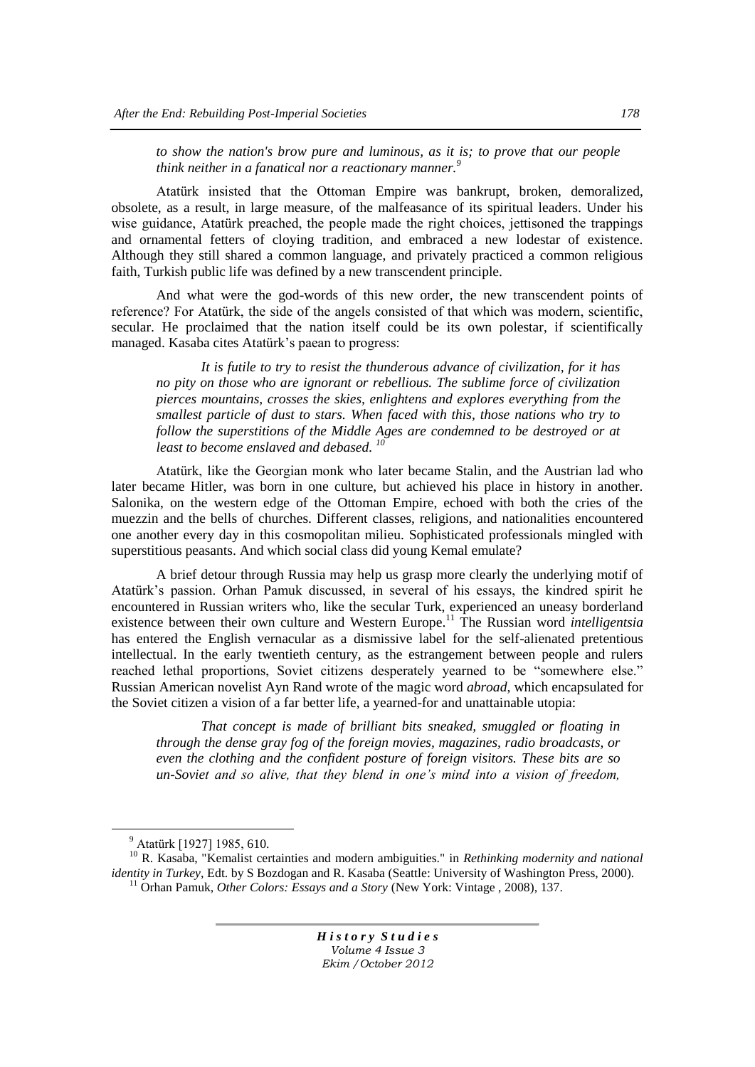*to show the nation's brow pure and luminous, as it is; to prove that our people think neither in a fanatical nor a reactionary manner.<sup>9</sup>*

Atatürk insisted that the Ottoman Empire was bankrupt, broken, demoralized, obsolete, as a result, in large measure, of the malfeasance of its spiritual leaders. Under his wise guidance, Atatürk preached, the people made the right choices, jettisoned the trappings and ornamental fetters of cloying tradition, and embraced a new lodestar of existence. Although they still shared a common language, and privately practiced a common religious faith, Turkish public life was defined by a new transcendent principle.

And what were the god-words of this new order, the new transcendent points of reference? For Atatürk, the side of the angels consisted of that which was modern, scientific, secular. He proclaimed that the nation itself could be its own polestar, if scientifically managed. Kasaba cites Atatürk's paean to progress:

*It is futile to try to resist the thunderous advance of civilization, for it has no pity on those who are ignorant or rebellious. The sublime force of civilization pierces mountains, crosses the skies, enlightens and explores everything from the smallest particle of dust to stars. When faced with this, those nations who try to follow the superstitions of the Middle Ages are condemned to be destroyed or at least to become enslaved and debased. <sup>10</sup>*

Atatürk, like the Georgian monk who later became Stalin, and the Austrian lad who later became Hitler, was born in one culture, but achieved his place in history in another. Salonika, on the western edge of the Ottoman Empire, echoed with both the cries of the muezzin and the bells of churches. Different classes, religions, and nationalities encountered one another every day in this cosmopolitan milieu. Sophisticated professionals mingled with superstitious peasants. And which social class did young Kemal emulate?

A brief detour through Russia may help us grasp more clearly the underlying motif of Atatürk"s passion. Orhan Pamuk discussed, in several of his essays, the kindred spirit he encountered in Russian writers who, like the secular Turk, experienced an uneasy borderland existence between their own culture and Western Europe.<sup>11</sup> The Russian word *intelligentsia* has entered the English vernacular as a dismissive label for the self-alienated pretentious intellectual. In the early twentieth century, as the estrangement between people and rulers reached lethal proportions, Soviet citizens desperately yearned to be "somewhere else." Russian American novelist Ayn Rand wrote of the magic word *abroad*, which encapsulated for the Soviet citizen a vision of a far better life, a yearned-for and unattainable utopia:

*That concept is made of brilliant bits sneaked, smuggled or floating in through the dense gray fog of the foreign movies, magazines, radio broadcasts, or even the clothing and the confident posture of foreign visitors. These bits are so un-Soviet and so alive, that they blend in one"s mind into a vision of freedom,* 

 $\overline{a}$ 

<sup>9</sup> Atatürk [1927] 1985, 610.

<sup>10</sup> R. Kasaba, "Kemalist certainties and modern ambiguities." in *Rethinking modernity and national identity in Turkey*, Edt. by S Bozdogan and R. Kasaba (Seattle: University of Washington Press, 2000). <sup>11</sup> Orhan Pamuk, *Other Colors: Essays and a Story* (New York: Vintage , 2008), 137.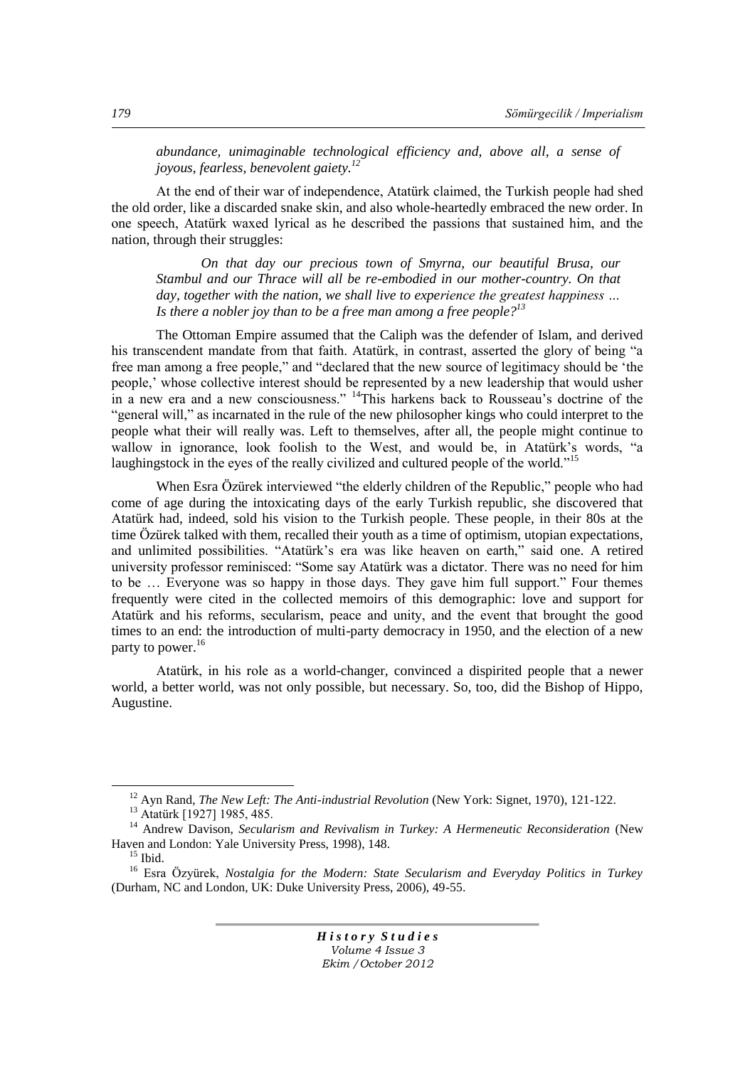*abundance, unimaginable technological efficiency and, above all, a sense of joyous, fearless, benevolent gaiety.<sup>12</sup>*

At the end of their war of independence, Atatürk claimed, the Turkish people had shed the old order, like a discarded snake skin, and also whole-heartedly embraced the new order. In one speech, Atatürk waxed lyrical as he described the passions that sustained him, and the nation, through their struggles:

*On that day our precious town of Smyrna, our beautiful Brusa, our Stambul and our Thrace will all be re-embodied in our mother-country. On that day, together with the nation, we shall live to experience the greatest happiness … Is there a nobler joy than to be a free man among a free people?<sup>13</sup>*

The Ottoman Empire assumed that the Caliph was the defender of Islam, and derived his transcendent mandate from that faith. Atatürk, in contrast, asserted the glory of being "a free man among a free people," and "declared that the new source of legitimacy should be "the people," whose collective interest should be represented by a new leadership that would usher in a new era and a new consciousness." <sup>14</sup>This harkens back to Rousseau's doctrine of the "general will," as incarnated in the rule of the new philosopher kings who could interpret to the people what their will really was. Left to themselves, after all, the people might continue to wallow in ignorance, look foolish to the West, and would be, in Atatürk's words, "a laughingstock in the eyes of the really civilized and cultured people of the world."<sup>15</sup>

When Esra Özürek interviewed "the elderly children of the Republic," people who had come of age during the intoxicating days of the early Turkish republic, she discovered that Atatürk had, indeed, sold his vision to the Turkish people. These people, in their 80s at the time Özürek talked with them, recalled their youth as a time of optimism, utopian expectations, and unlimited possibilities. "Atatürk"s era was like heaven on earth," said one. A retired university professor reminisced: "Some say Atatürk was a dictator. There was no need for him to be … Everyone was so happy in those days. They gave him full support." Four themes frequently were cited in the collected memoirs of this demographic: love and support for Atatürk and his reforms, secularism, peace and unity, and the event that brought the good times to an end: the introduction of multi-party democracy in 1950, and the election of a new party to power.<sup>16</sup>

Atatürk, in his role as a world-changer, convinced a dispirited people that a newer world, a better world, was not only possible, but necessary. So, too, did the Bishop of Hippo, Augustine.

 $\overline{a}$ 

<sup>12</sup> Ayn Rand, *The New Left: The Anti-industrial Revolution* (New York: Signet, 1970), 121-122.

<sup>13</sup> Atatürk [1927] 1985, 485.

<sup>&</sup>lt;sup>14</sup> Andrew Davison, *Secularism and Revivalism in Turkey: A Hermeneutic Reconsideration* (New Haven and London: Yale University Press, 1998), 148.

 $15$  Ibid.

<sup>16</sup> Esra Özyürek, *Nostalgia for the Modern: State Secularism and Everyday Politics in Turkey* (Durham, NC and London, UK: Duke University Press, 2006), 49-55.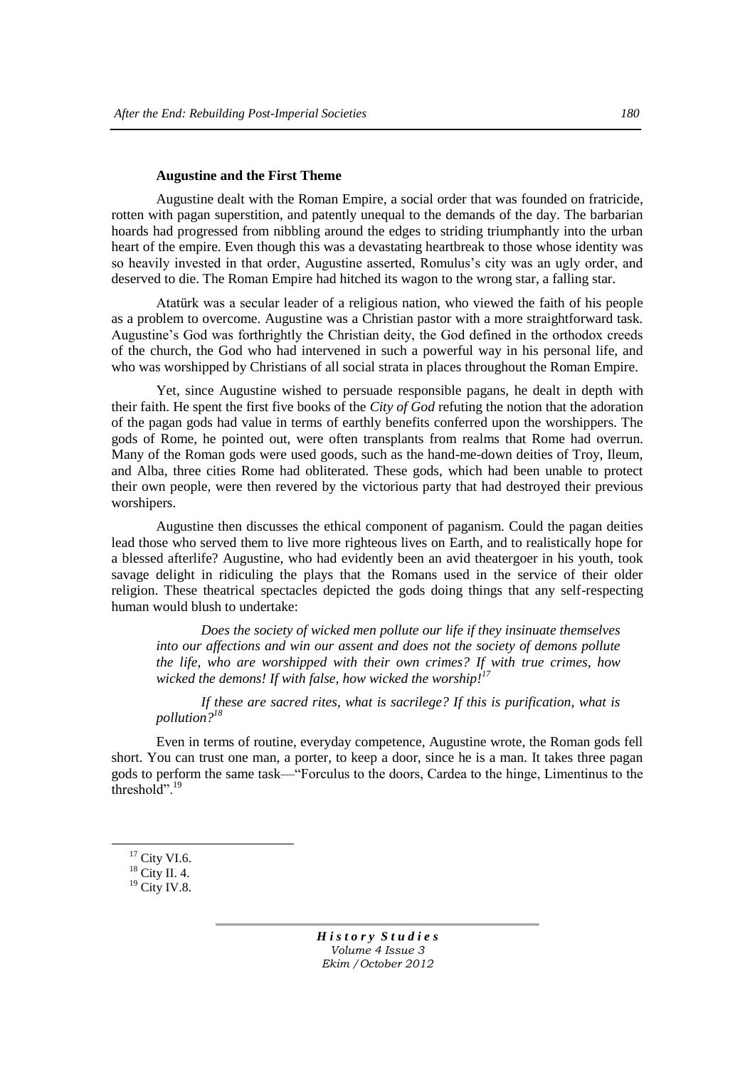#### **Augustine and the First Theme**

Augustine dealt with the Roman Empire, a social order that was founded on fratricide, rotten with pagan superstition, and patently unequal to the demands of the day. The barbarian hoards had progressed from nibbling around the edges to striding triumphantly into the urban heart of the empire. Even though this was a devastating heartbreak to those whose identity was so heavily invested in that order, Augustine asserted, Romulus's city was an ugly order, and deserved to die. The Roman Empire had hitched its wagon to the wrong star, a falling star.

Atatürk was a secular leader of a religious nation, who viewed the faith of his people as a problem to overcome. Augustine was a Christian pastor with a more straightforward task. Augustine"s God was forthrightly the Christian deity, the God defined in the orthodox creeds of the church, the God who had intervened in such a powerful way in his personal life, and who was worshipped by Christians of all social strata in places throughout the Roman Empire.

Yet, since Augustine wished to persuade responsible pagans, he dealt in depth with their faith. He spent the first five books of the *City of God* refuting the notion that the adoration of the pagan gods had value in terms of earthly benefits conferred upon the worshippers. The gods of Rome, he pointed out, were often transplants from realms that Rome had overrun. Many of the Roman gods were used goods, such as the hand-me-down deities of Troy, Ileum, and Alba, three cities Rome had obliterated. These gods, which had been unable to protect their own people, were then revered by the victorious party that had destroyed their previous worshipers.

Augustine then discusses the ethical component of paganism. Could the pagan deities lead those who served them to live more righteous lives on Earth, and to realistically hope for a blessed afterlife? Augustine, who had evidently been an avid theatergoer in his youth, took savage delight in ridiculing the plays that the Romans used in the service of their older religion. These theatrical spectacles depicted the gods doing things that any self-respecting human would blush to undertake:

*Does the society of wicked men pollute our life if they insinuate themselves into our affections and win our assent and does not the society of demons pollute the life, who are worshipped with their own crimes? If with true crimes, how wicked the demons! If with false, how wicked the worship!<sup>17</sup>*

*If these are sacred rites, what is sacrilege? If this is purification, what is pollution?<sup>18</sup>*

Even in terms of routine, everyday competence, Augustine wrote, the Roman gods fell short. You can trust one man, a porter, to keep a door, since he is a man. It takes three pagan gods to perform the same task—"Forculus to the doors, Cardea to the hinge, Limentinus to the threshold".<sup>19</sup>

 $\overline{a}$ 

 $17$  City VI.6.

 $18$  City II. 4.

 $19$  City IV.8.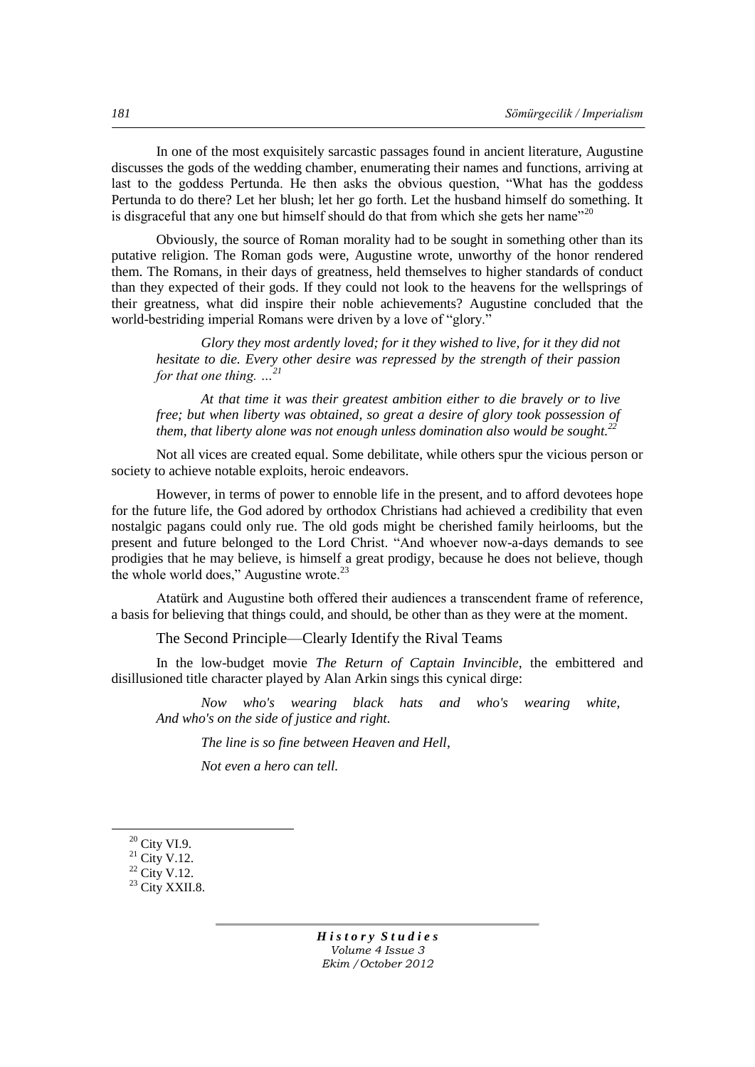In one of the most exquisitely sarcastic passages found in ancient literature, Augustine discusses the gods of the wedding chamber, enumerating their names and functions, arriving at last to the goddess Pertunda. He then asks the obvious question, "What has the goddess Pertunda to do there? Let her blush; let her go forth. Let the husband himself do something. It is disgraceful that any one but himself should do that from which she gets her name $^{220}$ 

Obviously, the source of Roman morality had to be sought in something other than its putative religion. The Roman gods were, Augustine wrote, unworthy of the honor rendered them. The Romans, in their days of greatness, held themselves to higher standards of conduct than they expected of their gods. If they could not look to the heavens for the wellsprings of their greatness, what did inspire their noble achievements? Augustine concluded that the world-bestriding imperial Romans were driven by a love of "glory."

*Glory they most ardently loved; for it they wished to live, for it they did not hesitate to die. Every other desire was repressed by the strength of their passion for that one thing.* ...<sup>2</sup>

*At that time it was their greatest ambition either to die bravely or to live free; but when liberty was obtained, so great a desire of glory took possession of them, that liberty alone was not enough unless domination also would be sought.<sup>22</sup>*

Not all vices are created equal. Some debilitate, while others spur the vicious person or society to achieve notable exploits, heroic endeavors.

However, in terms of power to ennoble life in the present, and to afford devotees hope for the future life, the God adored by orthodox Christians had achieved a credibility that even nostalgic pagans could only rue. The old gods might be cherished family heirlooms, but the present and future belonged to the Lord Christ. "And whoever now-a-days demands to see prodigies that he may believe, is himself a great prodigy, because he does not believe, though the whole world does," Augustine wrote.<sup>23</sup>

Atatürk and Augustine both offered their audiences a transcendent frame of reference, a basis for believing that things could, and should, be other than as they were at the moment.

The Second Principle—Clearly Identify the Rival Teams

In the low-budget movie *The Return of Captain Invincible*, the embittered and disillusioned title character played by Alan Arkin sings this cynical dirge:

*Now who's wearing black hats and who's wearing white, And who's on the side of justice and right.* 

*The line is so fine between Heaven and Hell,* 

*Not even a hero can tell.* 

 $\overline{a}$ 

 $20$  City VI.9.

 $^{21}$  City V.12.

 $22$  City V.12.

 $23$  City XXII.8.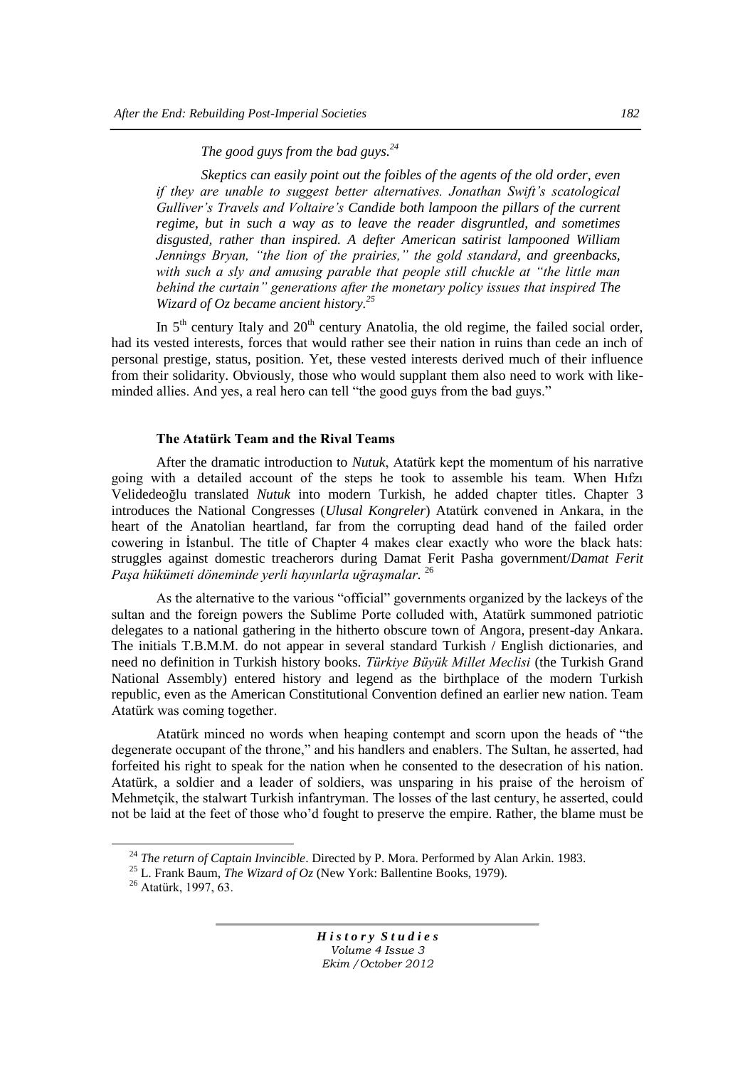*The good guys from the bad guys.<sup>24</sup>*

*Skeptics can easily point out the foibles of the agents of the old order, even if they are unable to suggest better alternatives. Jonathan Swift"s scatological Gulliver"s Travels and Voltaire"s Candide both lampoon the pillars of the current regime, but in such a way as to leave the reader disgruntled, and sometimes disgusted, rather than inspired. A defter American satirist lampooned William Jennings Bryan, "the lion of the prairies," the gold standard, and greenbacks, with such a sly and amusing parable that people still chuckle at "the little man behind the curtain" generations after the monetary policy issues that inspired The Wizard of Oz became ancient history.<sup>25</sup>*

In  $5<sup>th</sup>$  century Italy and  $20<sup>th</sup>$  century Anatolia, the old regime, the failed social order, had its vested interests, forces that would rather see their nation in ruins than cede an inch of personal prestige, status, position. Yet, these vested interests derived much of their influence from their solidarity. Obviously, those who would supplant them also need to work with likeminded allies. And yes, a real hero can tell "the good guys from the bad guys."

# **The Atatürk Team and the Rival Teams**

After the dramatic introduction to *Nutuk*, Atatürk kept the momentum of his narrative going with a detailed account of the steps he took to assemble his team. When Hıfzı Velidedeoğlu translated *Nutuk* into modern Turkish, he added chapter titles. Chapter 3 introduces the National Congresses (*Ulusal Kongreler*) Atatürk convened in Ankara, in the heart of the Anatolian heartland, far from the corrupting dead hand of the failed order cowering in İstanbul. The title of Chapter 4 makes clear exactly who wore the black hats: struggles against domestic treacherors during Damat Ferit Pasha government/*Damat Ferit Paşa hükümeti döneminde yerli hayınlarla uğraşmalar.* 26

As the alternative to the various "official" governments organized by the lackeys of the sultan and the foreign powers the Sublime Porte colluded with, Atatürk summoned patriotic delegates to a national gathering in the hitherto obscure town of Angora, present-day Ankara. The initials T.B.M.M. do not appear in several standard Turkish / English dictionaries, and need no definition in Turkish history books. *Türkiye Büyük Millet Meclisi* (the Turkish Grand National Assembly) entered history and legend as the birthplace of the modern Turkish republic, even as the American Constitutional Convention defined an earlier new nation. Team Atatürk was coming together.

Atatürk minced no words when heaping contempt and scorn upon the heads of "the degenerate occupant of the throne," and his handlers and enablers. The Sultan, he asserted, had forfeited his right to speak for the nation when he consented to the desecration of his nation. Atatürk, a soldier and a leader of soldiers, was unsparing in his praise of the heroism of Mehmetçik, the stalwart Turkish infantryman. The losses of the last century, he asserted, could not be laid at the feet of those who"d fought to preserve the empire. Rather, the blame must be

 $\overline{a}$ 

<sup>24</sup> *The return of Captain Invincible*. Directed by P. Mora. Performed by Alan Arkin. 1983.

<sup>25</sup> L. Frank Baum, *The Wizard of Oz* (New York: Ballentine Books, 1979).

<sup>26</sup> Atatürk, 1997, 63.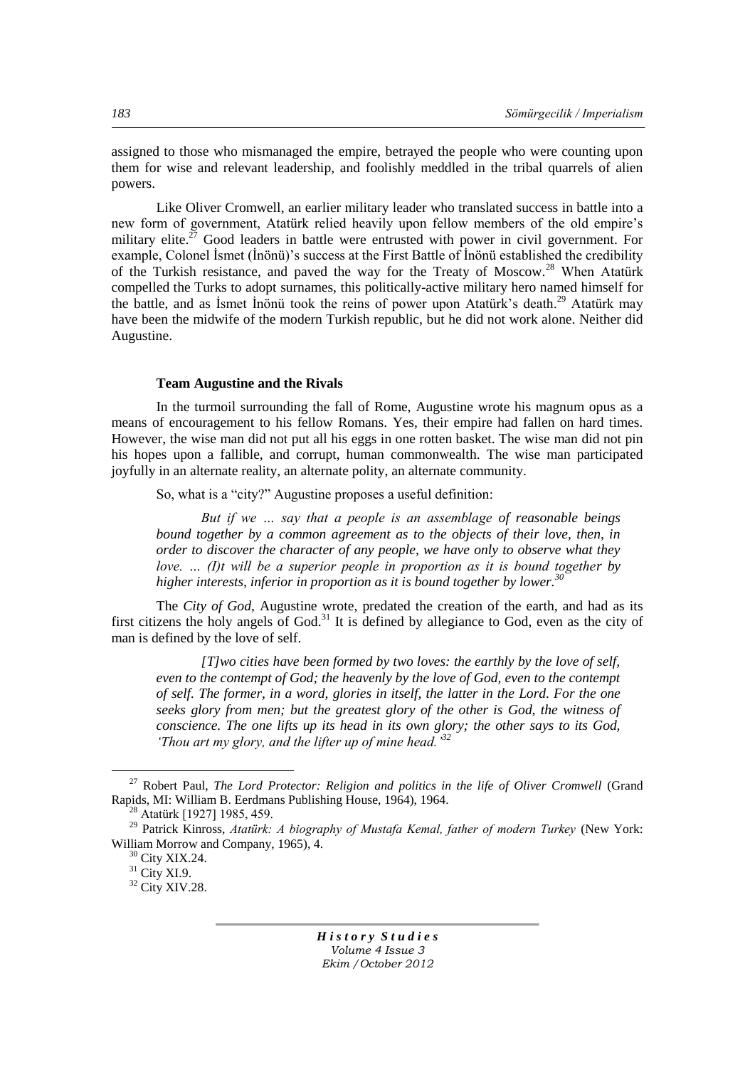assigned to those who mismanaged the empire, betrayed the people who were counting upon them for wise and relevant leadership, and foolishly meddled in the tribal quarrels of alien powers.

Like Oliver Cromwell, an earlier military leader who translated success in battle into a new form of government, Atatürk relied heavily upon fellow members of the old empire"s military elite.<sup>27</sup> Good leaders in battle were entrusted with power in civil government. For example, Colonel Ismet (Inönü)'s success at the First Battle of Inönü established the credibility of the Turkish resistance, and paved the way for the Treaty of Moscow.<sup>28</sup> When Atatürk compelled the Turks to adopt surnames, this politically-active military hero named himself for the battle, and as Ismet Inönü took the reins of power upon Atatürk's death.<sup>29</sup> Atatürk may have been the midwife of the modern Turkish republic, but he did not work alone. Neither did Augustine.

#### **Team Augustine and the Rivals**

In the turmoil surrounding the fall of Rome, Augustine wrote his magnum opus as a means of encouragement to his fellow Romans. Yes, their empire had fallen on hard times. However, the wise man did not put all his eggs in one rotten basket. The wise man did not pin his hopes upon a fallible, and corrupt, human commonwealth. The wise man participated joyfully in an alternate reality, an alternate polity, an alternate community.

So, what is a "city?" Augustine proposes a useful definition:

*But if we … say that a people is an assemblage of reasonable beings bound together by a common agreement as to the objects of their love, then, in order to discover the character of any people, we have only to observe what they love. ... (I)t will be a superior people in proportion as it is bound together by higher interests, inferior in proportion as it is bound together by lower.<sup>30</sup>*

The *City of God*, Augustine wrote, predated the creation of the earth, and had as its first citizens the holy angels of God.<sup>31</sup> It is defined by allegiance to God, even as the city of man is defined by the love of self.

*[T]wo cities have been formed by two loves: the earthly by the love of self, even to the contempt of God; the heavenly by the love of God, even to the contempt of self. The former, in a word, glories in itself, the latter in the Lord. For the one seeks glory from men; but the greatest glory of the other is God, the witness of conscience. The one lifts up its head in its own glory; the other says to its God, "Thou art my glory, and the lifter up of mine head."<sup>32</sup>*

 $\overline{a}$ 

<sup>27</sup> Robert Paul, *The Lord Protector: Religion and politics in the life of Oliver Cromwell* (Grand Rapids, MI: William B. Eerdmans Publishing House, 1964), 1964.

<sup>&</sup>lt;sup>28</sup> Atatürk [1927] 1985, 459.

<sup>29</sup> Patrick Kinross, *Atatürk: A biography of Mustafa Kemal, father of modern Turkey* (New York: William Morrow and Company, 1965), 4.

<sup>30</sup> City XIX.24.

 $31$  City XI.9.

<sup>&</sup>lt;sup>32</sup> City XIV.28.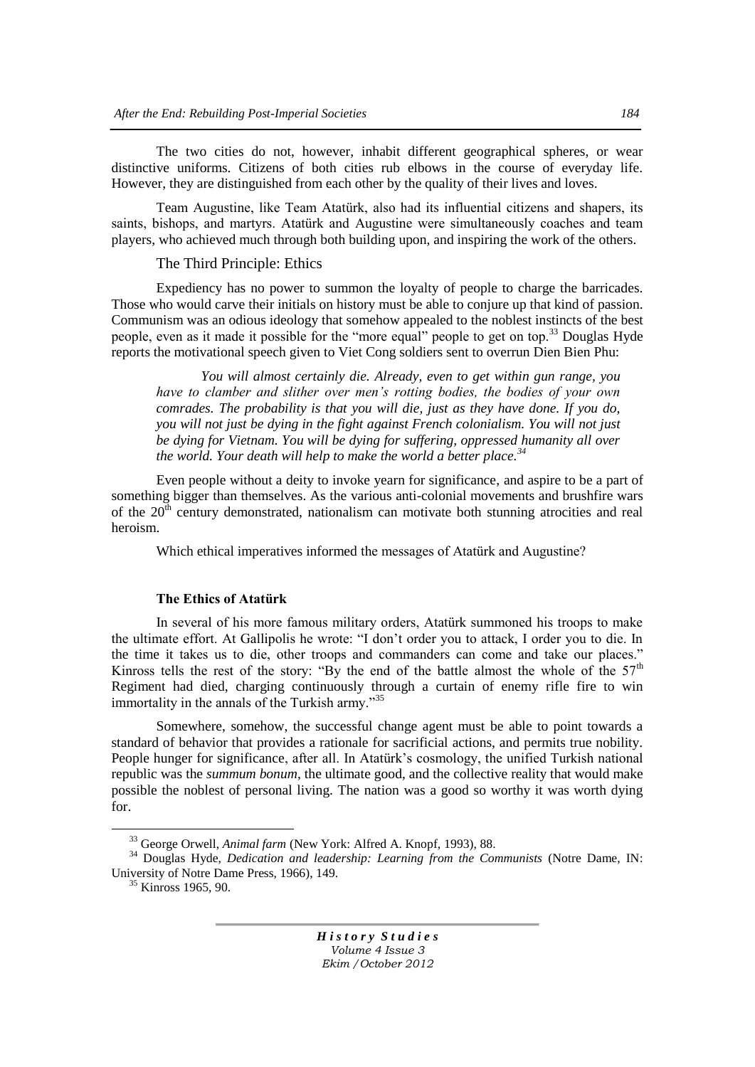The two cities do not, however, inhabit different geographical spheres, or wear distinctive uniforms. Citizens of both cities rub elbows in the course of everyday life. However, they are distinguished from each other by the quality of their lives and loves.

Team Augustine, like Team Atatürk, also had its influential citizens and shapers, its saints, bishops, and martyrs. Atatürk and Augustine were simultaneously coaches and team players, who achieved much through both building upon, and inspiring the work of the others.

The Third Principle: Ethics

Expediency has no power to summon the loyalty of people to charge the barricades. Those who would carve their initials on history must be able to conjure up that kind of passion. Communism was an odious ideology that somehow appealed to the noblest instincts of the best people, even as it made it possible for the "more equal" people to get on top.<sup>33</sup> Douglas Hyde reports the motivational speech given to Viet Cong soldiers sent to overrun Dien Bien Phu:

*You will almost certainly die. Already, even to get within gun range, you have to clamber and slither over men"s rotting bodies, the bodies of your own comrades. The probability is that you will die, just as they have done. If you do, you will not just be dying in the fight against French colonialism. You will not just be dying for Vietnam. You will be dying for suffering, oppressed humanity all over the world. Your death will help to make the world a better place.<sup>34</sup>*

Even people without a deity to invoke yearn for significance, and aspire to be a part of something bigger than themselves. As the various anti-colonial movements and brushfire wars of the  $20<sup>th</sup>$  century demonstrated, nationalism can motivate both stunning atrocities and real heroism.

Which ethical imperatives informed the messages of Atatürk and Augustine?

#### **The Ethics of Atatürk**

In several of his more famous military orders, Atatürk summoned his troops to make the ultimate effort. At Gallipolis he wrote: "I don"t order you to attack, I order you to die. In the time it takes us to die, other troops and commanders can come and take our places." Kinross tells the rest of the story: "By the end of the battle almost the whole of the  $57<sup>th</sup>$ Regiment had died, charging continuously through a curtain of enemy rifle fire to win immortality in the annals of the Turkish army."<sup>35</sup>

Somewhere, somehow, the successful change agent must be able to point towards a standard of behavior that provides a rationale for sacrificial actions, and permits true nobility. People hunger for significance, after all. In Atatürk's cosmology, the unified Turkish national republic was the *summum bonum*, the ultimate good, and the collective reality that would make possible the noblest of personal living. The nation was a good so worthy it was worth dying for.

 $\overline{a}$ 

<sup>33</sup> George Orwell, *Animal farm* (New York: Alfred A. Knopf, 1993), 88.

<sup>34</sup> Douglas Hyde, *Dedication and leadership: Learning from the Communists* (Notre Dame, IN: University of Notre Dame Press, 1966), 149.

<sup>35</sup> Kinross 1965, 90.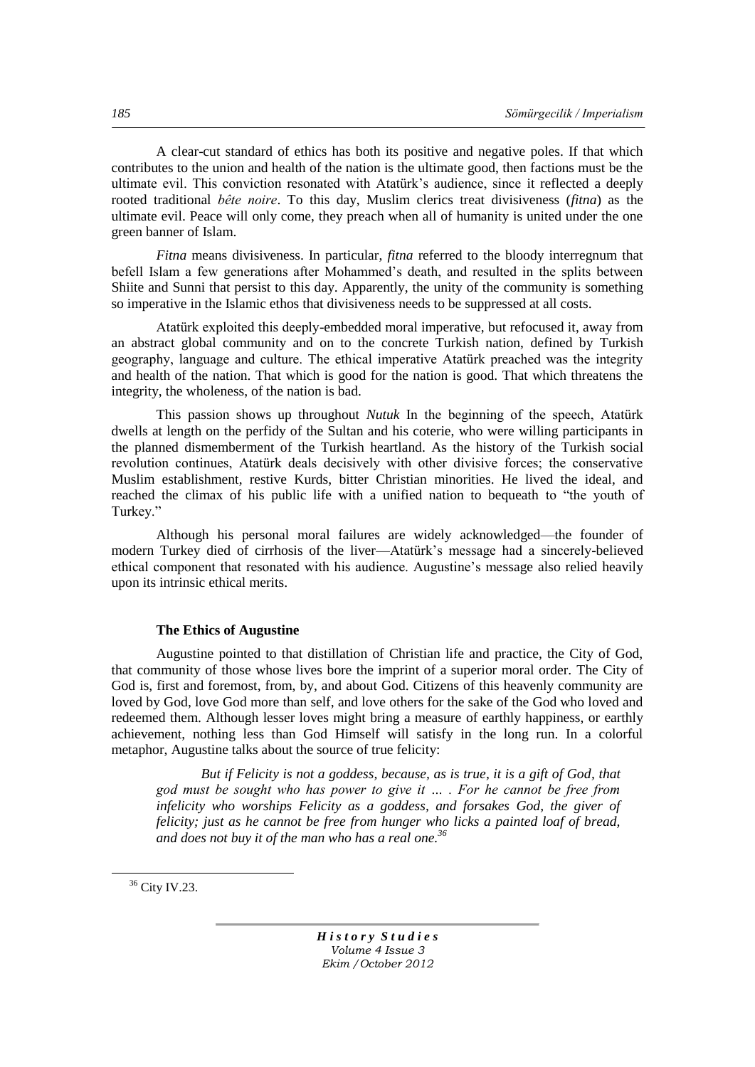A clear-cut standard of ethics has both its positive and negative poles. If that which contributes to the union and health of the nation is the ultimate good, then factions must be the ultimate evil. This conviction resonated with Atatürk"s audience, since it reflected a deeply rooted traditional *bête noire*. To this day, Muslim clerics treat divisiveness (*fitna*) as the ultimate evil. Peace will only come, they preach when all of humanity is united under the one green banner of Islam.

*Fitna* means divisiveness. In particular, *fitna* referred to the bloody interregnum that befell Islam a few generations after Mohammed"s death, and resulted in the splits between Shiite and Sunni that persist to this day. Apparently, the unity of the community is something so imperative in the Islamic ethos that divisiveness needs to be suppressed at all costs.

Atatürk exploited this deeply-embedded moral imperative, but refocused it, away from an abstract global community and on to the concrete Turkish nation, defined by Turkish geography, language and culture. The ethical imperative Atatürk preached was the integrity and health of the nation. That which is good for the nation is good. That which threatens the integrity, the wholeness, of the nation is bad.

This passion shows up throughout *Nutuk* In the beginning of the speech, Atatürk dwells at length on the perfidy of the Sultan and his coterie, who were willing participants in the planned dismemberment of the Turkish heartland. As the history of the Turkish social revolution continues, Atatürk deals decisively with other divisive forces; the conservative Muslim establishment, restive Kurds, bitter Christian minorities. He lived the ideal, and reached the climax of his public life with a unified nation to bequeath to "the youth of Turkey."

Although his personal moral failures are widely acknowledged—the founder of modern Turkey died of cirrhosis of the liver—Atatürk"s message had a sincerely-believed ethical component that resonated with his audience. Augustine"s message also relied heavily upon its intrinsic ethical merits.

## **The Ethics of Augustine**

Augustine pointed to that distillation of Christian life and practice, the City of God, that community of those whose lives bore the imprint of a superior moral order. The City of God is, first and foremost, from, by, and about God. Citizens of this heavenly community are loved by God, love God more than self, and love others for the sake of the God who loved and redeemed them. Although lesser loves might bring a measure of earthly happiness, or earthly achievement, nothing less than God Himself will satisfy in the long run. In a colorful metaphor, Augustine talks about the source of true felicity:

*But if Felicity is not a goddess, because, as is true, it is a gift of God, that god must be sought who has power to give it … . For he cannot be free from infelicity who worships Felicity as a goddess, and forsakes God, the giver of felicity; just as he cannot be free from hunger who licks a painted loaf of bread, and does not buy it of the man who has a real one.<sup>36</sup>*

 $\overline{a}$ 

<sup>36</sup> City IV.23.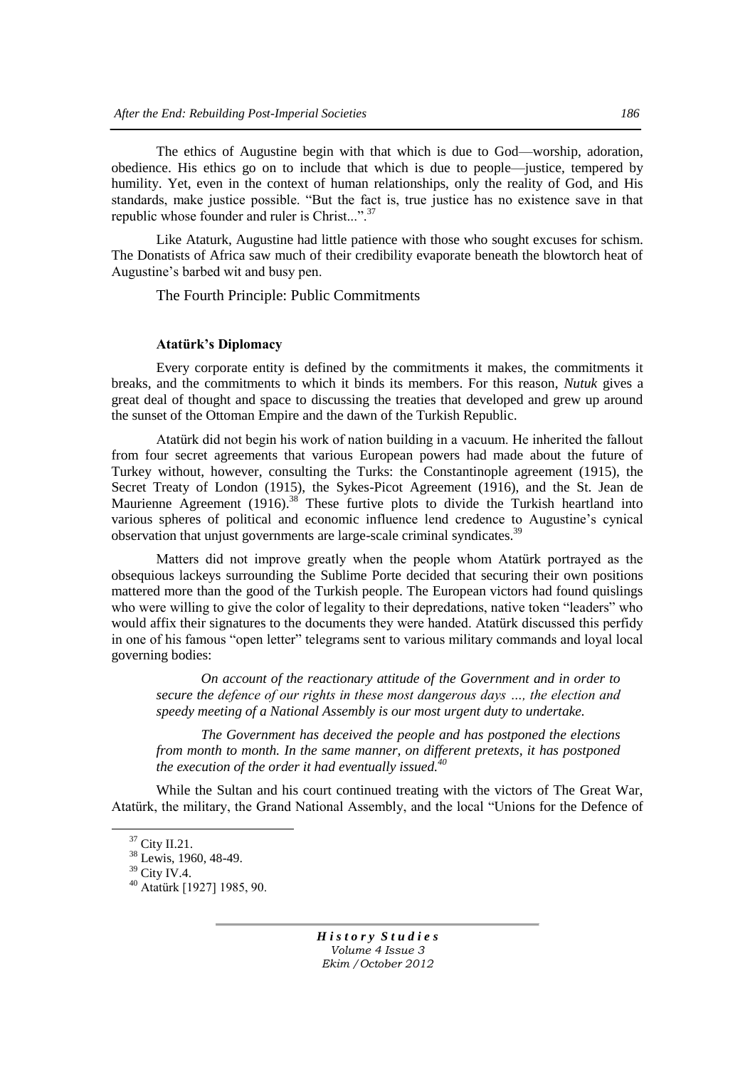The ethics of Augustine begin with that which is due to God—worship, adoration, obedience. His ethics go on to include that which is due to people—justice, tempered by humility. Yet, even in the context of human relationships, only the reality of God, and His standards, make justice possible. "But the fact is, true justice has no existence save in that republic whose founder and ruler is Christ...".<sup>37</sup>

Like Ataturk, Augustine had little patience with those who sought excuses for schism. The Donatists of Africa saw much of their credibility evaporate beneath the blowtorch heat of Augustine"s barbed wit and busy pen.

The Fourth Principle: Public Commitments

#### **Atatürk's Diplomacy**

Every corporate entity is defined by the commitments it makes, the commitments it breaks, and the commitments to which it binds its members. For this reason, *Nutuk* gives a great deal of thought and space to discussing the treaties that developed and grew up around the sunset of the Ottoman Empire and the dawn of the Turkish Republic.

Atatürk did not begin his work of nation building in a vacuum. He inherited the fallout from four secret agreements that various European powers had made about the future of Turkey without, however, consulting the Turks: the Constantinople agreement (1915), the Secret Treaty of London (1915), the Sykes-Picot Agreement (1916), and the St. Jean de Maurienne Agreement (1916).<sup>38</sup> These furtive plots to divide the Turkish heartland into various spheres of political and economic influence lend credence to Augustine"s cynical observation that unjust governments are large-scale criminal syndicates.<sup>39</sup>

Matters did not improve greatly when the people whom Atatürk portrayed as the obsequious lackeys surrounding the Sublime Porte decided that securing their own positions mattered more than the good of the Turkish people. The European victors had found quislings who were willing to give the color of legality to their depredations, native token "leaders" who would affix their signatures to the documents they were handed. Atatürk discussed this perfidy in one of his famous "open letter" telegrams sent to various military commands and loyal local governing bodies:

*On account of the reactionary attitude of the Government and in order to secure the defence of our rights in these most dangerous days …, the election and speedy meeting of a National Assembly is our most urgent duty to undertake.*

*The Government has deceived the people and has postponed the elections from month to month. In the same manner, on different pretexts, it has postponed the execution of the order it had eventually issued.<sup>40</sup>*

While the Sultan and his court continued treating with the victors of The Great War, Atatürk, the military, the Grand National Assembly, and the local "Unions for the Defence of

 $\overline{a}$ 

<sup>37</sup> City II.21.

<sup>&</sup>lt;sup>38</sup> Lewis, 1960, 48-49.

<sup>39</sup> City IV.4.

<sup>40</sup> Atatürk [1927] 1985, 90.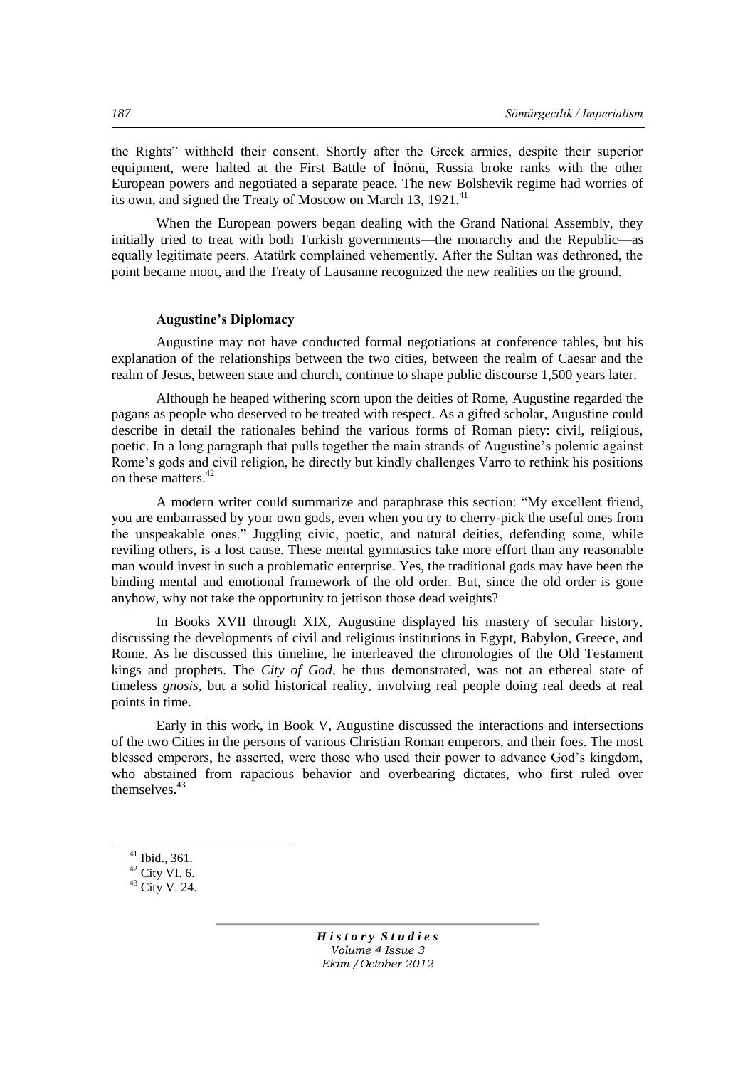the Rights" withheld their consent. Shortly after the Greek armies, despite their superior equipment, were halted at the First Battle of İnönü, Russia broke ranks with the other European powers and negotiated a separate peace. The new Bolshevik regime had worries of its own, and signed the Treaty of Moscow on March 13, 1921.<sup>41</sup>

When the European powers began dealing with the Grand National Assembly, they initially tried to treat with both Turkish governments—the monarchy and the Republic—as equally legitimate peers. Atatürk complained vehemently. After the Sultan was dethroned, the point became moot, and the Treaty of Lausanne recognized the new realities on the ground.

#### **Augustine's Diplomacy**

Augustine may not have conducted formal negotiations at conference tables, but his explanation of the relationships between the two cities, between the realm of Caesar and the realm of Jesus, between state and church, continue to shape public discourse 1,500 years later.

Although he heaped withering scorn upon the deities of Rome, Augustine regarded the pagans as people who deserved to be treated with respect. As a gifted scholar, Augustine could describe in detail the rationales behind the various forms of Roman piety: civil, religious, poetic. In a long paragraph that pulls together the main strands of Augustine"s polemic against Rome"s gods and civil religion, he directly but kindly challenges Varro to rethink his positions on these matters.<sup>42</sup>

A modern writer could summarize and paraphrase this section: "My excellent friend, you are embarrassed by your own gods, even when you try to cherry-pick the useful ones from the unspeakable ones." Juggling civic, poetic, and natural deities, defending some, while reviling others, is a lost cause. These mental gymnastics take more effort than any reasonable man would invest in such a problematic enterprise. Yes, the traditional gods may have been the binding mental and emotional framework of the old order. But, since the old order is gone anyhow, why not take the opportunity to jettison those dead weights?

In Books XVII through XIX, Augustine displayed his mastery of secular history, discussing the developments of civil and religious institutions in Egypt, Babylon, Greece, and Rome. As he discussed this timeline, he interleaved the chronologies of the Old Testament kings and prophets. The *City of God*, he thus demonstrated, was not an ethereal state of timeless *gnosis*, but a solid historical reality, involving real people doing real deeds at real points in time.

Early in this work, in Book V, Augustine discussed the interactions and intersections of the two Cities in the persons of various Christian Roman emperors, and their foes. The most blessed emperors, he asserted, were those who used their power to advance God"s kingdom, who abstained from rapacious behavior and overbearing dictates, who first ruled over themselves.<sup>43</sup>

 $\overline{a}$ 

 $41$  Ibid., 361.

 $^{42}$  City VI. 6.

<sup>43</sup> City V. 24.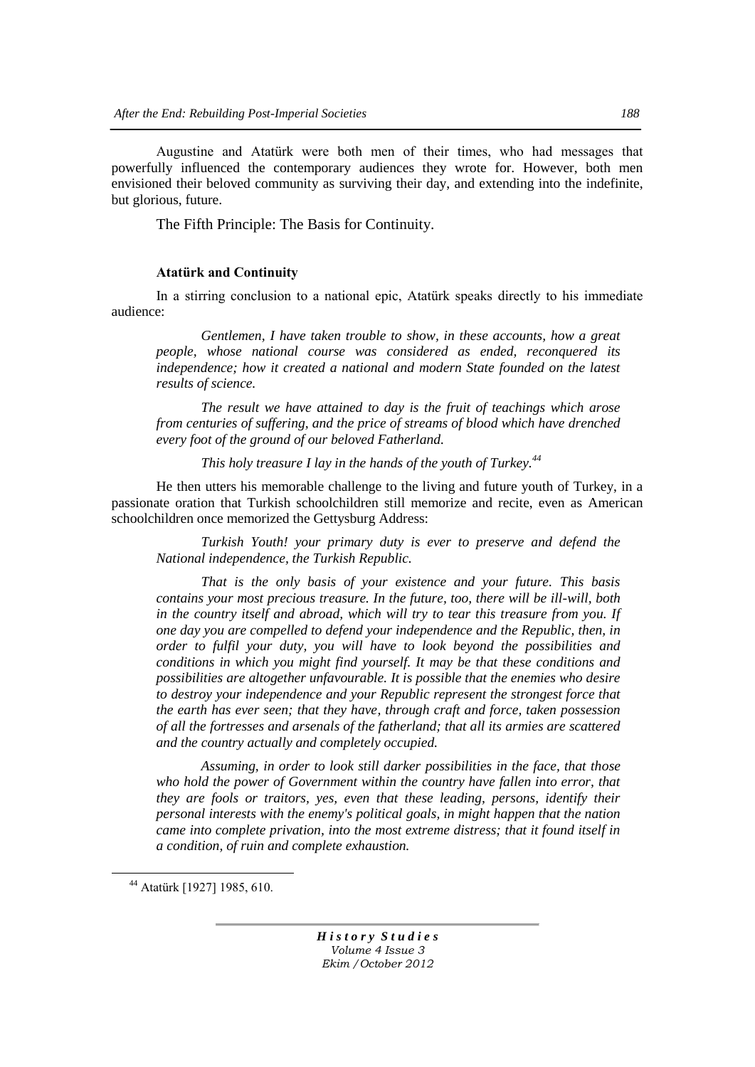Augustine and Atatürk were both men of their times, who had messages that powerfully influenced the contemporary audiences they wrote for. However, both men envisioned their beloved community as surviving their day, and extending into the indefinite, but glorious, future.

The Fifth Principle: The Basis for Continuity.

# **Atatürk and Continuity**

In a stirring conclusion to a national epic, Atatürk speaks directly to his immediate audience:

*Gentlemen, I have taken trouble to show, in these accounts, how a great people, whose national course was considered as ended, reconquered its independence; how it created a national and modern State founded on the latest results of science.*

*The result we have attained to day is the fruit of teachings which arose from centuries of suffering, and the price of streams of blood which have drenched every foot of the ground of our beloved Fatherland.*

*This holy treasure I lay in the hands of the youth of Turkey.<sup>44</sup>*

He then utters his memorable challenge to the living and future youth of Turkey, in a passionate oration that Turkish schoolchildren still memorize and recite, even as American schoolchildren once memorized the Gettysburg Address:

*Turkish Youth! your primary duty is ever to preserve and defend the National independence, the Turkish Republic.*

*That is the only basis of your existence and your future. This basis contains your most precious treasure. In the future, too, there will be ill-will, both in the country itself and abroad, which will try to tear this treasure from you. If one day you are compelled to defend your independence and the Republic, then, in order to fulfil your duty, you will have to look beyond the possibilities and conditions in which you might find yourself. It may be that these conditions and possibilities are altogether unfavourable. It is possible that the enemies who desire to destroy your independence and your Republic represent the strongest force that the earth has ever seen; that they have, through craft and force, taken possession of all the fortresses and arsenals of the fatherland; that all its armies are scattered and the country actually and completely occupied.*

*Assuming, in order to look still darker possibilities in the face, that those who hold the power of Government within the country have fallen into error, that they are fools or traitors, yes, even that these leading, persons, identify their personal interests with the enemy's political goals, in might happen that the nation came into complete privation, into the most extreme distress; that it found itself in a condition, of ruin and complete exhaustion.*

 $\overline{a}$ 

<sup>44</sup> Atatürk [1927] 1985, 610.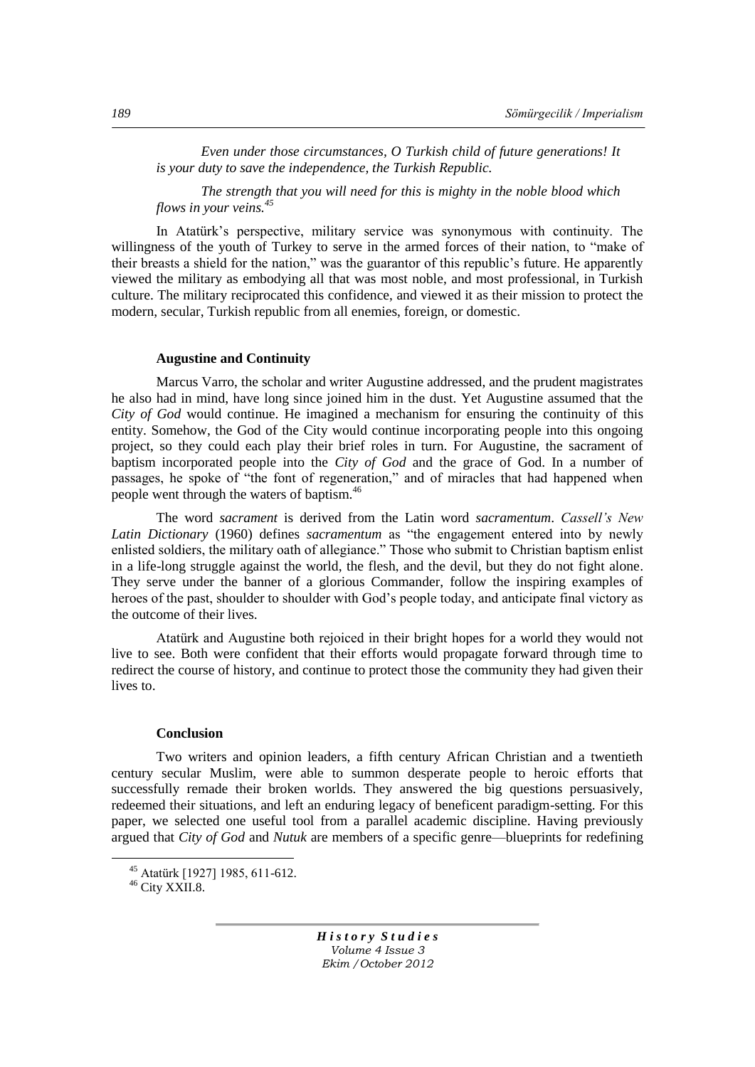*Even under those circumstances, O Turkish child of future generations! It is your duty to save the independence, the Turkish Republic.*

*The strength that you will need for this is mighty in the noble blood which flows in your veins.<sup>45</sup>*

In Atatürk"s perspective, military service was synonymous with continuity. The willingness of the youth of Turkey to serve in the armed forces of their nation, to "make of their breasts a shield for the nation," was the guarantor of this republic's future. He apparently viewed the military as embodying all that was most noble, and most professional, in Turkish culture. The military reciprocated this confidence, and viewed it as their mission to protect the modern, secular, Turkish republic from all enemies, foreign, or domestic.

#### **Augustine and Continuity**

Marcus Varro, the scholar and writer Augustine addressed, and the prudent magistrates he also had in mind, have long since joined him in the dust. Yet Augustine assumed that the *City of God* would continue. He imagined a mechanism for ensuring the continuity of this entity. Somehow, the God of the City would continue incorporating people into this ongoing project, so they could each play their brief roles in turn. For Augustine, the sacrament of baptism incorporated people into the *City of God* and the grace of God. In a number of passages, he spoke of "the font of regeneration," and of miracles that had happened when people went through the waters of baptism.<sup>46</sup>

The word *sacrament* is derived from the Latin word *sacramentum*. *Cassell"s New Latin Dictionary* (1960) defines *sacramentum* as "the engagement entered into by newly enlisted soldiers, the military oath of allegiance." Those who submit to Christian baptism enlist in a life-long struggle against the world, the flesh, and the devil, but they do not fight alone. They serve under the banner of a glorious Commander, follow the inspiring examples of heroes of the past, shoulder to shoulder with God"s people today, and anticipate final victory as the outcome of their lives.

Atatürk and Augustine both rejoiced in their bright hopes for a world they would not live to see. Both were confident that their efforts would propagate forward through time to redirect the course of history, and continue to protect those the community they had given their lives to.

#### **Conclusion**

Two writers and opinion leaders, a fifth century African Christian and a twentieth century secular Muslim, were able to summon desperate people to heroic efforts that successfully remade their broken worlds. They answered the big questions persuasively, redeemed their situations, and left an enduring legacy of beneficent paradigm-setting. For this paper, we selected one useful tool from a parallel academic discipline. Having previously argued that *City of God* and *Nutuk* are members of a specific genre—blueprints for redefining

 $\overline{a}$ 

<sup>45</sup> Atatürk [1927] 1985, 611-612.

 $46$  City XXII.8.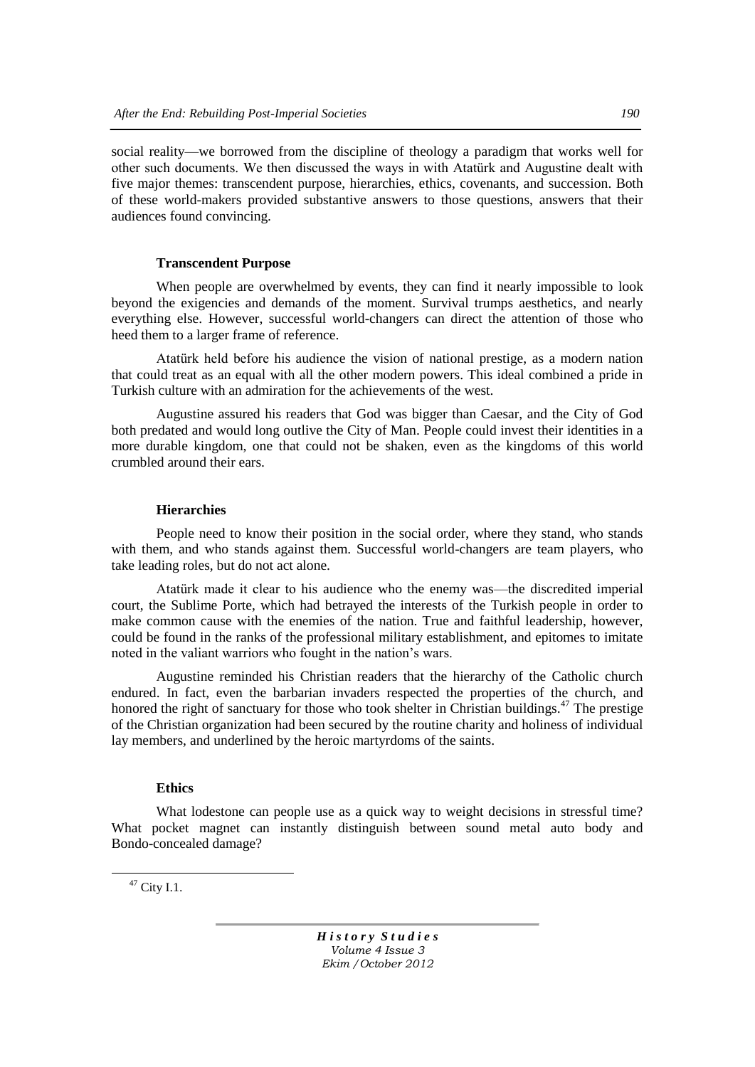social reality—we borrowed from the discipline of theology a paradigm that works well for other such documents. We then discussed the ways in with Atatürk and Augustine dealt with five major themes: transcendent purpose, hierarchies, ethics, covenants, and succession. Both of these world-makers provided substantive answers to those questions, answers that their audiences found convincing.

#### **Transcendent Purpose**

When people are overwhelmed by events, they can find it nearly impossible to look beyond the exigencies and demands of the moment. Survival trumps aesthetics, and nearly everything else. However, successful world-changers can direct the attention of those who heed them to a larger frame of reference.

Atatürk held before his audience the vision of national prestige, as a modern nation that could treat as an equal with all the other modern powers. This ideal combined a pride in Turkish culture with an admiration for the achievements of the west.

Augustine assured his readers that God was bigger than Caesar, and the City of God both predated and would long outlive the City of Man. People could invest their identities in a more durable kingdom, one that could not be shaken, even as the kingdoms of this world crumbled around their ears.

# **Hierarchies**

People need to know their position in the social order, where they stand, who stands with them, and who stands against them. Successful world-changers are team players, who take leading roles, but do not act alone.

Atatürk made it clear to his audience who the enemy was—the discredited imperial court, the Sublime Porte, which had betrayed the interests of the Turkish people in order to make common cause with the enemies of the nation. True and faithful leadership, however, could be found in the ranks of the professional military establishment, and epitomes to imitate noted in the valiant warriors who fought in the nation"s wars.

Augustine reminded his Christian readers that the hierarchy of the Catholic church endured. In fact, even the barbarian invaders respected the properties of the church, and honored the right of sanctuary for those who took shelter in Christian buildings.<sup>47</sup> The prestige of the Christian organization had been secured by the routine charity and holiness of individual lay members, and underlined by the heroic martyrdoms of the saints.

#### **Ethics**

What lodestone can people use as a quick way to weight decisions in stressful time? What pocket magnet can instantly distinguish between sound metal auto body and Bondo-concealed damage?

 $\overline{a}$ 

 $47$  City I.1.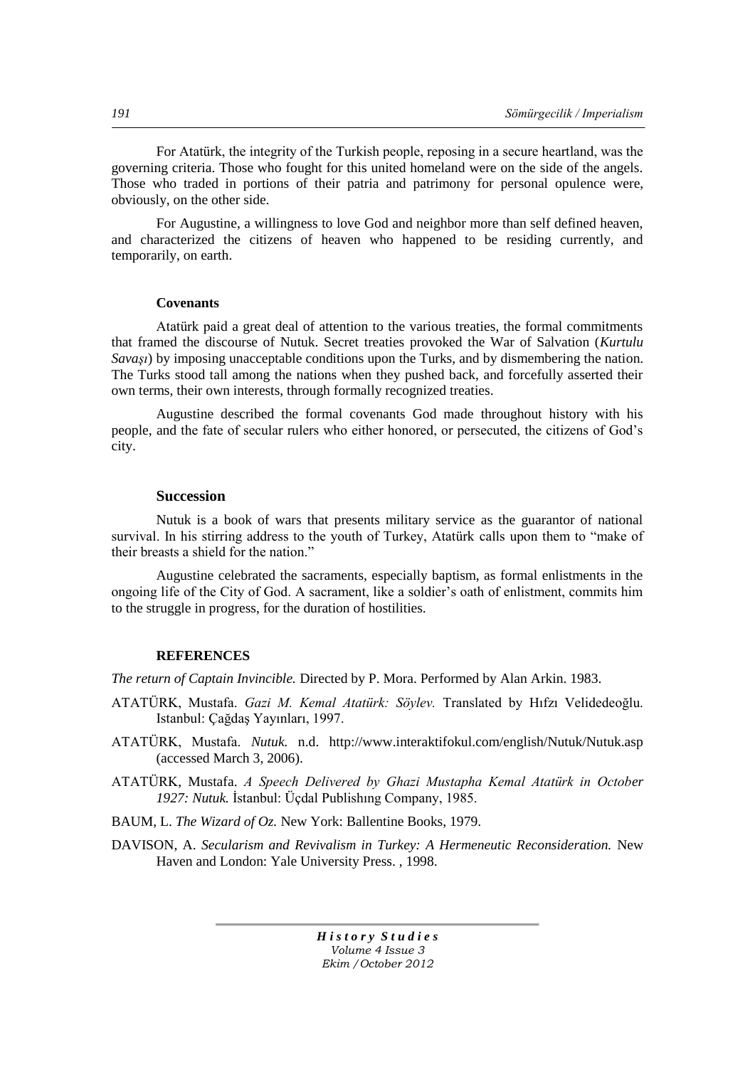For Atatürk, the integrity of the Turkish people, reposing in a secure heartland, was the governing criteria. Those who fought for this united homeland were on the side of the angels. Those who traded in portions of their patria and patrimony for personal opulence were, obviously, on the other side.

For Augustine, a willingness to love God and neighbor more than self defined heaven, and characterized the citizens of heaven who happened to be residing currently, and temporarily, on earth.

#### **Covenants**

Atatürk paid a great deal of attention to the various treaties, the formal commitments that framed the discourse of Nutuk. Secret treaties provoked the War of Salvation (*Kurtulu Savasi*) by imposing unacceptable conditions upon the Turks, and by dismembering the nation. The Turks stood tall among the nations when they pushed back, and forcefully asserted their own terms, their own interests, through formally recognized treaties.

Augustine described the formal covenants God made throughout history with his people, and the fate of secular rulers who either honored, or persecuted, the citizens of God"s city.

# **Succession**

Nutuk is a book of wars that presents military service as the guarantor of national survival. In his stirring address to the youth of Turkey, Atatürk calls upon them to "make of their breasts a shield for the nation."

Augustine celebrated the sacraments, especially baptism, as formal enlistments in the ongoing life of the City of God. A sacrament, like a soldier"s oath of enlistment, commits him to the struggle in progress, for the duration of hostilities.

#### **REFERENCES**

*The return of Captain Invincible.* Directed by P. Mora. Performed by Alan Arkin. 1983.

- ATATÜRK, Mustafa. *Gazi M. Kemal Atatürk: Söylev.* Translated by Hıfzı Velidedeoğlu. Istanbul: Çağdaş Yayınları, 1997.
- ATATÜRK, Mustafa. *Nutuk.* n.d. http://www.interaktifokul.com/english/Nutuk/Nutuk.asp (accessed March 3, 2006).
- ATATÜRK, Mustafa. *A Speech Delivered by Ghazi Mustapha Kemal Atatürk in October 1927: Nutuk.* İstanbul: Üçdal Publishıng Company, 1985.
- BAUM, L. *The Wizard of Oz.* New York: Ballentine Books, 1979.
- DAVISON, A. *Secularism and Revivalism in Turkey: A Hermeneutic Reconsideration.* New Haven and London: Yale University Press. , 1998.